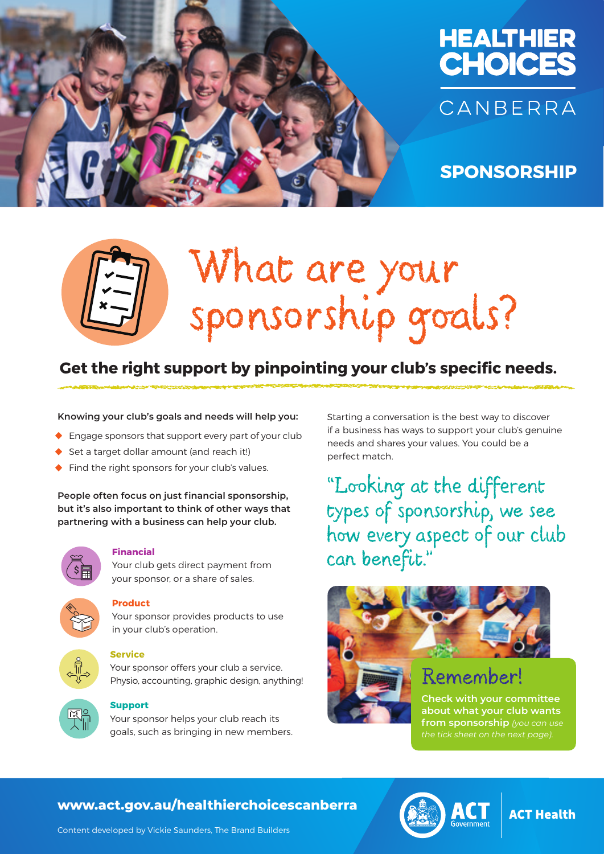



**SPONSORSHIP**

# What are your sponsorship goals?

### **Get the right support by pinpointing your club's specific needs.**

**Knowing your club's goals and needs will help you:**

- **•** Engage sponsors that support every part of your club
- **•** Set a target dollar amount (and reach it!)
- **•** Find the right sponsors for your club's values.

**People often focus on just financial sponsorship, but it's also important to think of other ways that partnering with a business can help your club.**



### **Financial**

Your club gets direct payment from your sponsor, or a share of sales.



### **Product**

Your sponsor provides products to use in your club's operation.



### **Service**

Your sponsor offers your club a service. Physio, accounting, graphic design, anything!



### **Support**

Your sponsor helps your club reach its goals, such as bringing in new members.

Starting a conversation is the best way to discover if a business has ways to support your club's genuine needs and shares your values. You could be a perfect match.

"Looking at the different types of sponsorship, we see how every aspect of our club can benefit."



### Remember!

**Check with your committee about what your club wants from sponsorship** *(you can use the tick sheet on the next page).*

### **www.act.gov.au/healthierchoicescanberra**



### **ACT Health**

Content developed by Vickie Saunders, The Brand Builders